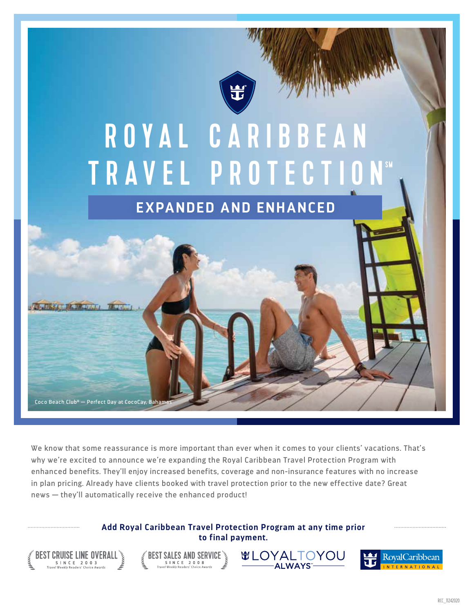

# R O Y A L C A R I B B E A N TRAVEL PROTECTIO

**EXPANDED AND ENHANCED**

Coco Beach Club® — Perfect Day at CocoCay, Baha

We know that some reassurance is more important than ever when it comes to your clients' vacations. That's why we're excited to announce we're expanding the Royal Caribbean Travel Protection Program with enhanced benefits. They'll enjoy increased benefits, coverage and non-insurance features with no increase in plan pricing. Already have clients booked with travel protection prior to the new effective date? Great news — they'll automatically receive the enhanced product!

> **Add Royal Caribbean Travel Protection Program at any time prior to final payment.**

![](_page_0_Picture_6.jpeg)

![](_page_0_Picture_7.jpeg)

![](_page_0_Picture_8.jpeg)

![](_page_0_Picture_9.jpeg)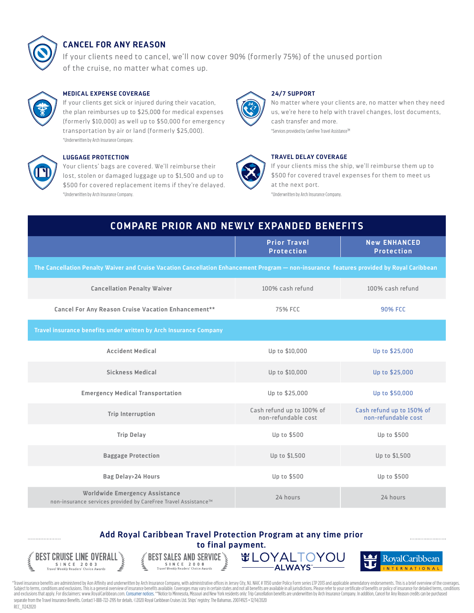![](_page_1_Picture_0.jpeg)

# **CANCEL FOR ANY REASON**

If your clients need to cancel, we'll now cover 90% (formerly 75%) of the unused portion of the cruise, no matter what comes up.

![](_page_1_Picture_3.jpeg)

# **MEDICAL EXPENSE COVERAGE**

If your clients get sick or injured during their vacation, the plan reimburses up to \$25,000 for medical expenses (formerly \$10,000) as well up to \$50,000 for emergency transportation by air or land (formerly \$25,000). \*Underwritten by Arch Insurance Company.

![](_page_1_Picture_6.jpeg)

# **LUGGAGE PROTECTION**

Your clients' bags are covered. We'll reimburse their lost, stolen or damaged luggage up to \$1,500 and up to \$500 for covered replacement items if they're delayed. \*Underwritten by Arch Insurance Company.

![](_page_1_Picture_9.jpeg)

# **24/7 SUPPORT**

No matter where your clients are, no matter when they need us, we're here to help with travel changes, lost documents, cash transfer and more.

\*Services provided by CareFree Travel Assistance<sup>TM</sup>

![](_page_1_Picture_13.jpeg)

# **TRAVEL DELAY COVERAGE**

If your clients miss the ship, we'll reimburse them up to \$500 for covered travel expenses for them to meet us at the next port.

\*Underwritten by Arch Insurance Company.

| <b>COMPARE PRIOR AND NEWLY EXPANDED BENEFITS</b>                                                                                          |                                                  |                                                  |
|-------------------------------------------------------------------------------------------------------------------------------------------|--------------------------------------------------|--------------------------------------------------|
|                                                                                                                                           | <b>Prior Travel</b><br><b>Protection</b>         | <b>New ENHANCED</b><br><b>Protection</b>         |
| The Cancellation Penalty Waiver and Cruise Vacation Cancellation Enhancement Program - non-insurance features provided by Royal Caribbean |                                                  |                                                  |
| <b>Cancellation Penalty Waiver</b>                                                                                                        | 100% cash refund                                 | 100% cash refund                                 |
| Cancel For Any Reason Cruise Vacation Enhancement**                                                                                       | 75% FCC                                          | <b>90% FCC</b>                                   |
| Travel insurance benefits under written by Arch Insurance Company                                                                         |                                                  |                                                  |
| <b>Accident Medical</b>                                                                                                                   | Up to \$10,000                                   | Up to \$25,000                                   |
| <b>Sickness Medical</b>                                                                                                                   | Up to \$10,000                                   | Up to \$25,000                                   |
| <b>Emergency Medical Transportation</b>                                                                                                   | Up to \$25,000                                   | Up to \$50,000                                   |
| <b>Trip Interruption</b>                                                                                                                  | Cash refund up to 100% of<br>non-refundable cost | Cash refund up to 150% of<br>non-refundable cost |
| <b>Trip Delay</b>                                                                                                                         | Up to \$500                                      | Up to \$500                                      |
| <b>Baggage Protection</b>                                                                                                                 | Up to \$1,500                                    | Up to \$1,500                                    |
| Bag Delay>24 Hours                                                                                                                        | Up to \$500                                      | Up to \$500                                      |
| Worldwide Emergency Assistance<br>non-insurance services provided by CareFree Travel Assistance™                                          | 24 hours                                         | 24 hours                                         |

# **Add Royal Caribbean Travel Protection Program at any time prior to final payment.**

![](_page_1_Picture_19.jpeg)

...................

**BEST SALES AND SERVICE** S INCE 2008<br>Travel Weekly Readers' Choice Awards ing (  $\tilde{\epsilon}$ 

![](_page_1_Picture_21.jpeg)

![](_page_1_Picture_22.jpeg)

\*Travel insurance benefits are administered by Aon Affinity and underwritten by Arch Insurance Company, with administrative offices in Jersey City, NJ. NAIC #11150 under Policy Form series LTP 2013 and applicable amendator Subject to terms, conditions and exclusions. This is a general overview of insurance benefits available. Coverages may vary in certain states and not all benefits are available in all jurisdictions. Please refer to your ce and exclusions that apply. For disclaimers: www.RoyalCaribbean.com. Consumer notices. \*\*Notice to Minnesota, Missouri and New York residents only: Trip Cancellation benefits are underwritten by Arch Insurance Company. In a separate from the Travel Insurance Benefits. Contact 1-888-722-2195 for details. [©2020 Royal Car](https://www.archinsurancesolutions.com/consumer-notices-aon)ibbean Cruises Ltd. Ships' registry: The Bahamas. 20074923 • 12/14/2020 RCC\_11242020